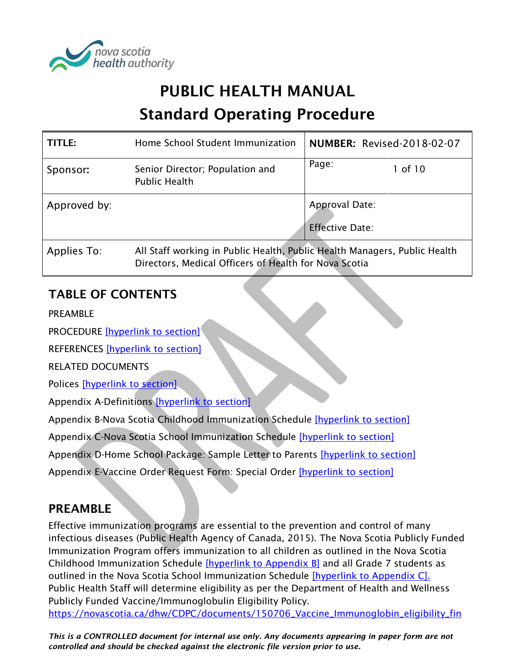

# PUBLIC HEALTH MANUAL Standard Operating Procedure

| TITLE:       | Home School Student Immunization                                          | <b>NUMBER: Revised-2018-02-07</b>        |             |
|--------------|---------------------------------------------------------------------------|------------------------------------------|-------------|
| Sponsor:     | Senior Director; Population and<br><b>Public Health</b>                   | Page:                                    | $1$ of $10$ |
| Approved by: |                                                                           | Approval Date:<br><b>Effective Date:</b> |             |
| Applies To:  | All Staff working in Public Health, Public Health Managers, Public Health |                                          |             |

Directors, Medical Officers of Health for Nova Scotia

# TABLE OF CONTENTS

PREAMBLE

PROCEDURE [\[hyperlink to section\]](#page-1-0)

REFERENCES [\[hyperlink to section\]](#page-3-0)

RELATED DOCUMENTS

Polices [\[hyperlink to section\]](#page-3-1)

Appendix A-Definitions [\[hyperlink to section\]](#page-4-0)

Appendix B-Nova Scotia Childhood Immunization Schedule [\[hyperlink to section\]](#page-5-0)

Appendix C-Nova Scotia School Immunization Schedule [\[hyperlink to section\]](#page-6-0)

Appendix D-Home School Package: Sample Letter to Parents [\[hyperlink to section\]](#page-7-0)

Appendix E-Vaccine Order Request Form: Special Order [\[hyperlink to section\]](#page-8-0)

# PREAMBLE

Effective immunization programs are essential to the prevention and control of many infectious diseases (Public Health Agency of Canada, 2015). The Nova Scotia Publicly Funded Immunization Program offers immunization to all children as outlined in the Nova Scotia Childhood Immunization Schedule [\[hyperlink to Appendix B\]](#page-5-0) and all Grade 7 students as outlined in the Nova Scotia School Immunization Schedule [\[hyperlink to Appendix C\].](#page-6-0) Public Health Staff will determine eligibility as per the Department of Health and Wellness Publicly Funded Vaccine/Immunoglobulin Eligibility Policy. [https://novascotia.ca/dhw/CDPC/documents/150706\\_Vaccine\\_Immunoglobin\\_eligibility\\_fin](https://novascotia.ca/dhw/CDPC/documents/150706_Vaccine_Immunoglobin_eligibility_final.pdf)

*This is a CONTROLLED document for internal use only. Any documents appearing in paper form are not controlled and should be checked against the electronic file version prior to use.*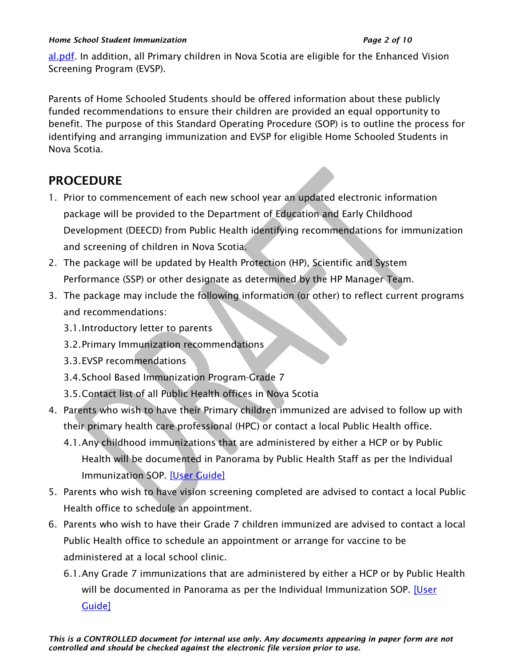#### *Home School Student Immunization Page 2 of 10*

[al.pdf.](https://novascotia.ca/dhw/CDPC/documents/150706_Vaccine_Immunoglobin_eligibility_final.pdf) In addition, all Primary children in Nova Scotia are eligible for the Enhanced Vision Screening Program (EVSP).

Parents of Home Schooled Students should be offered information about these publicly funded recommendations to ensure their children are provided an equal opportunity to benefit. The purpose of this Standard Operating Procedure (SOP) is to outline the process for identifying and arranging immunization and EVSP for eligible Home Schooled Students in Nova Scotia.

# <span id="page-1-0"></span>PROCEDURE

- 1. Prior to commencement of each new school year an updated electronic information package will be provided to the Department of Education and Early Childhood Development (DEECD) from Public Health identifying recommendations for immunization and screening of children in Nova Scotia.
- 2. The package will be updated by Health Protection (HP), Scientific and System Performance (SSP) or other designate as determined by the HP Manager Team.
- 3. The package may include the following information (or other) to reflect current programs and recommendations:
	- 3.1.Introductory letter to parents
	- 3.2.Primary Immunization recommendations
	- 3.3.EVSP recommendations
	- 3.4.School Based Immunization Program-Grade 7
	- 3.5.Contact list of all Public Health offices in Nova Scotia
- 4. Parents who wish to have their Primary children immunized are advised to follow up with their primary health care professional (HPC) or contact a local Public Health office.
	- 4.1.Any childhood immunizations that are administered by either a HCP or by Public Health will be documented in Panorama by Public Health Staff as per the Individual Immunization SOP. [\[User Guide\]](https://support.novascotia.ca/sites/default/files/docs/immunization-user-guides/PNS%20User%20Guide%20IMM%20101%20-%20Single%20Immunization.pdf)
- 5. Parents who wish to have vision screening completed are advised to contact a local Public Health office to schedule an appointment.
- 6. Parents who wish to have their Grade 7 children immunized are advised to contact a local Public Health office to schedule an appointment or arrange for vaccine to be administered at a local school clinic.
	- 6.1.Any Grade 7 immunizations that are administered by either a HCP or by Public Health will be documented in Panorama as per the Individual Immunization SOP. [User] [Guide\]](https://support.novascotia.ca/sites/default/files/docs/immunization-user-guides/PNS%20User%20Guide%20IMM%20101%20-%20Single%20Immunization.pdf)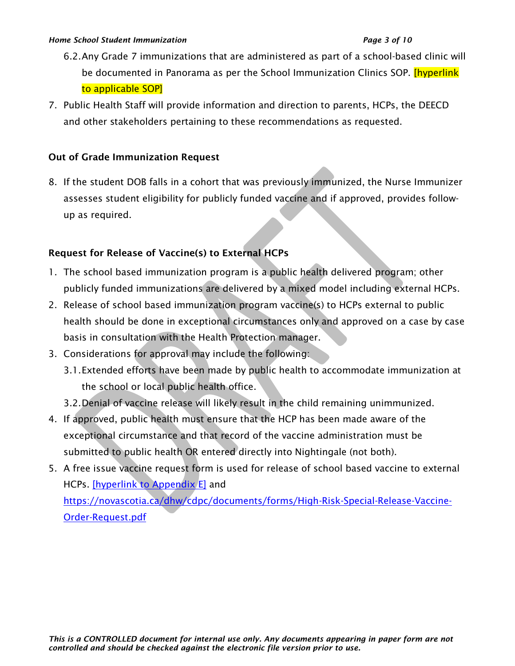- 6.2.Any Grade 7 immunizations that are administered as part of a school-based clinic will be documented in Panorama as per the School Immunization Clinics SOP. [hyperlink] to applicable SOP]
- 7. Public Health Staff will provide information and direction to parents, HCPs, the DEECD and other stakeholders pertaining to these recommendations as requested.

#### Out of Grade Immunization Request

8. If the student DOB falls in a cohort that was previously immunized, the Nurse Immunizer assesses student eligibility for publicly funded vaccine and if approved, provides followup as required.

#### Request for Release of Vaccine(s) to External HCPs

- 1. The school based immunization program is a public health delivered program; other publicly funded immunizations are delivered by a mixed model including external HCPs.
- 2. Release of school based immunization program vaccine(s) to HCPs external to public health should be done in exceptional circumstances only and approved on a case by case basis in consultation with the Health Protection manager.
- 3. Considerations for approval may include the following:
	- 3.1.Extended efforts have been made by public health to accommodate immunization at the school or local public health office.
	- 3.2.Denial of vaccine release will likely result in the child remaining unimmunized.
- 4. If approved, public health must ensure that the HCP has been made aware of the exceptional circumstance and that record of the vaccine administration must be submitted to public health OR entered directly into Nightingale (not both).
- 5. A free issue vaccine request form is used for release of school based vaccine to external HCPs. *[hyperlink to Appendix E]* and [https://novascotia.ca/dhw/cdpc/documents/forms/High-Risk-Special-Release-Vaccine-](https://novascotia.ca/dhw/cdpc/documents/forms/High-Risk-Special-Release-Vaccine-Order-Request.pdf)[Order-Request.pdf](https://novascotia.ca/dhw/cdpc/documents/forms/High-Risk-Special-Release-Vaccine-Order-Request.pdf)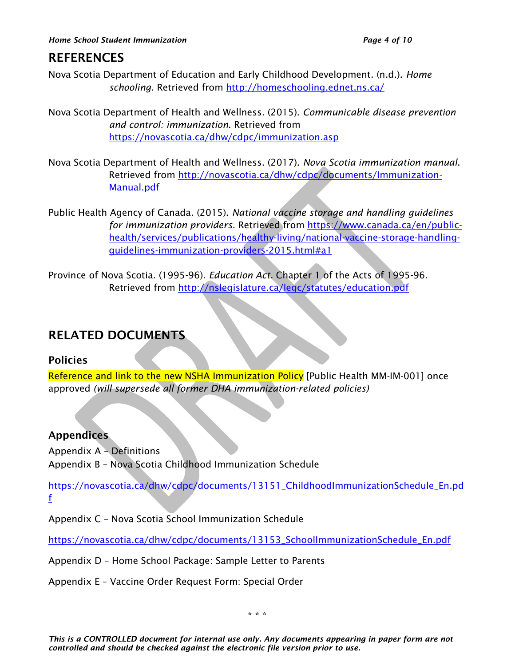# <span id="page-3-0"></span>**REFERENCES**

- Nova Scotia Department of Education and Early Childhood Development. (n.d.). *Home schooling.* Retrieved from<http://homeschooling.ednet.ns.ca/>
- Nova Scotia Department of Health and Wellness. (2015). *Communicable disease prevention and control: immunization*. Retrieved from <https://novascotia.ca/dhw/cdpc/immunization.asp>
- Nova Scotia Department of Health and Wellness. (2017). *Nova Scotia immunization manual*. Retrieved from [http://novascotia.ca/dhw/cdpc/documents/Immunization-](http://novascotia.ca/dhw/cdpc/documents/Immunization-Manual.pdf)[Manual.pdf](http://novascotia.ca/dhw/cdpc/documents/Immunization-Manual.pdf)
- Public Health Agency of Canada. (2015). *National vaccine storage and handling guidelines for immunization providers*. Retrieved from [https://www.canada.ca/en/public](https://www.canada.ca/en/public-health/services/publications/healthy-living/national-vaccine-storage-handling-guidelines-immunization-providers-2015.html#a1)[health/services/publications/healthy-living/national-vaccine-storage-handling](https://www.canada.ca/en/public-health/services/publications/healthy-living/national-vaccine-storage-handling-guidelines-immunization-providers-2015.html#a1)[guidelines-immunization-providers-2015.html#a1](https://www.canada.ca/en/public-health/services/publications/healthy-living/national-vaccine-storage-handling-guidelines-immunization-providers-2015.html#a1)
- Province of Nova Scotia. (1995-96). *Education Act.* Chapter 1 of the Acts of 1995-96. Retrieved from<http://nslegislature.ca/legc/statutes/education.pdf>

# RELATED DOCUMENTS

## <span id="page-3-1"></span>Policies

Reference and link to the new NSHA Immunization Policy [Public Health MM-IM-001] once approved *(will supersede all former DHA immunization-related policies)*

## Appendices

Appendix A – Definitions Appendix B – Nova Scotia Childhood Immunization Schedule

[https://novascotia.ca/dhw/cdpc/documents/13151\\_ChildhoodImmunizationSchedule\\_En.pd](https://novascotia.ca/dhw/cdpc/documents/13151_ChildhoodImmunizationSchedule_En.pdf) [f](https://novascotia.ca/dhw/cdpc/documents/13151_ChildhoodImmunizationSchedule_En.pdf)

Appendix C – Nova Scotia School Immunization Schedule

[https://novascotia.ca/dhw/cdpc/documents/13153\\_SchoolImmunizationSchedule\\_En.pdf](https://novascotia.ca/dhw/cdpc/documents/13153_SchoolImmunizationSchedule_En.pdf)

Appendix D – Home School Package: Sample Letter to Parents

Appendix E – Vaccine Order Request Form: Special Order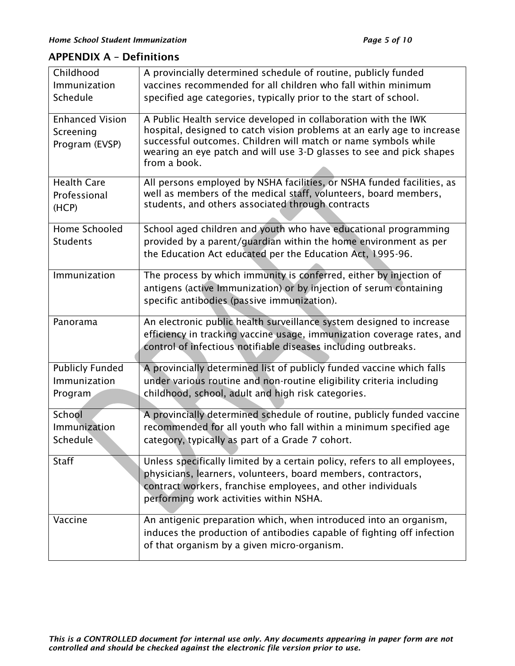## <span id="page-4-0"></span>APPENDIX A – Definitions

| Childhood                                             | A provincially determined schedule of routine, publicly funded                                                                                                                                                                                                                                       |
|-------------------------------------------------------|------------------------------------------------------------------------------------------------------------------------------------------------------------------------------------------------------------------------------------------------------------------------------------------------------|
| Immunization                                          | vaccines recommended for all children who fall within minimum                                                                                                                                                                                                                                        |
| Schedule                                              | specified age categories, typically prior to the start of school.                                                                                                                                                                                                                                    |
| <b>Enhanced Vision</b><br>Screening<br>Program (EVSP) | A Public Health service developed in collaboration with the IWK<br>hospital, designed to catch vision problems at an early age to increase<br>successful outcomes. Children will match or name symbols while<br>wearing an eye patch and will use 3-D glasses to see and pick shapes<br>from a book. |
| <b>Health Care</b><br>Professional<br>(HCP)           | All persons employed by NSHA facilities, or NSHA funded facilities, as<br>well as members of the medical staff, volunteers, board members,<br>students, and others associated through contracts                                                                                                      |
| Home Schooled<br><b>Students</b>                      | School aged children and youth who have educational programming<br>provided by a parent/guardian within the home environment as per<br>the Education Act educated per the Education Act, 1995-96.                                                                                                    |
| Immunization                                          | The process by which immunity is conferred, either by injection of<br>antigens (active Immunization) or by injection of serum containing<br>specific antibodies (passive immunization).                                                                                                              |
| Panorama                                              | An electronic public health surveillance system designed to increase<br>efficiency in tracking vaccine usage, immunization coverage rates, and<br>control of infectious notifiable diseases including outbreaks.                                                                                     |
| <b>Publicly Funded</b><br>Immunization<br>Program     | A provincially determined list of publicly funded vaccine which falls<br>under various routine and non-routine eligibility criteria including<br>childhood, school, adult and high risk categories.                                                                                                  |
| School<br>Immunization<br>Schedule                    | A provincially determined schedule of routine, publicly funded vaccine<br>recommended for all youth who fall within a minimum specified age<br>category, typically as part of a Grade 7 cohort.                                                                                                      |
| Staff                                                 | Unless specifically limited by a certain policy, refers to all employees,<br>physicians, learners, volunteers, board members, contractors,<br>contract workers, franchise employees, and other individuals<br>performing work activities within NSHA.                                                |
| Vaccine                                               | An antigenic preparation which, when introduced into an organism,<br>induces the production of antibodies capable of fighting off infection<br>of that organism by a given micro-organism.                                                                                                           |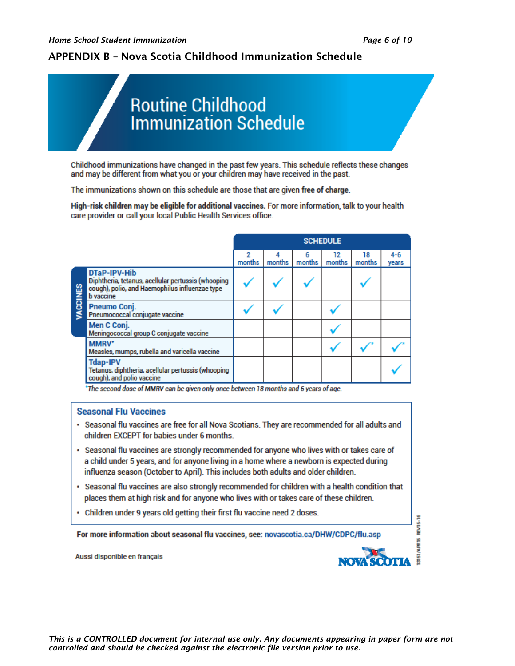**REV15-16** 

### <span id="page-5-0"></span>APPENDIX B – Nova Scotia Childhood Immunization Schedule



Childhood immunizations have changed in the past few years. This schedule reflects these changes and may be different from what you or your children may have received in the past.

The immunizations shown on this schedule are those that are given free of charge.

High-risk children may be eligible for additional vaccines. For more information, talk to your health care provider or call your local Public Health Services office.

|                |                                                                                                                                                 |             |             |             | <b>SCHEDULE</b> |              |                  |
|----------------|-------------------------------------------------------------------------------------------------------------------------------------------------|-------------|-------------|-------------|-----------------|--------------|------------------|
|                |                                                                                                                                                 | 2<br>months | 4<br>months | 6<br>months | 12<br>months    | 18<br>months | $4 - 6$<br>years |
| <b>ACCINES</b> | <b>DTaP-IPV-Hib</b><br>Diphtheria, tetanus, acellular pertussis (whooping<br>cough), polio, and Haemophilus influenzae type<br><b>b</b> vaccine |             |             |             |                 |              |                  |
|                | Pneumo Conj.<br>Pneumococcal conjugate vaccine                                                                                                  |             |             |             |                 |              |                  |
|                | Men C Conj.<br>Meningococcal group C conjugate vaccine                                                                                          |             |             |             |                 |              |                  |
|                | <b>MMRV*</b><br>Measles, mumps, rubella and varicella vaccine                                                                                   |             |             |             |                 |              |                  |
|                | <b>Tdap-IPV</b><br>Tetanus, diphtheria, acellular pertussis (whooping<br>cough), and polio vaccine                                              |             |             |             |                 |              |                  |

\*The second dose of MMRV can be given only once between 18 months and 6 years of age.

#### **Seasonal Flu Vaccines**

- · Seasonal flu vaccines are free for all Nova Scotians. They are recommended for all adults and children EXCEPT for babies under 6 months.
- . Seasonal flu vaccines are strongly recommended for anyone who lives with or takes care of a child under 5 years, and for anyone living in a home where a newborn is expected during influenza season (October to April). This includes both adults and older children.
- Seasonal flu vaccines are also strongly recommended for children with a health condition that places them at high risk and for anyone who lives with or takes care of these children.
- Children under 9 years old getting their first flu vaccine need 2 doses.

For more information about seasonal flu vaccines, see: novascotia.ca/DHW/CDPC/flu.asp

Aussi disponible en français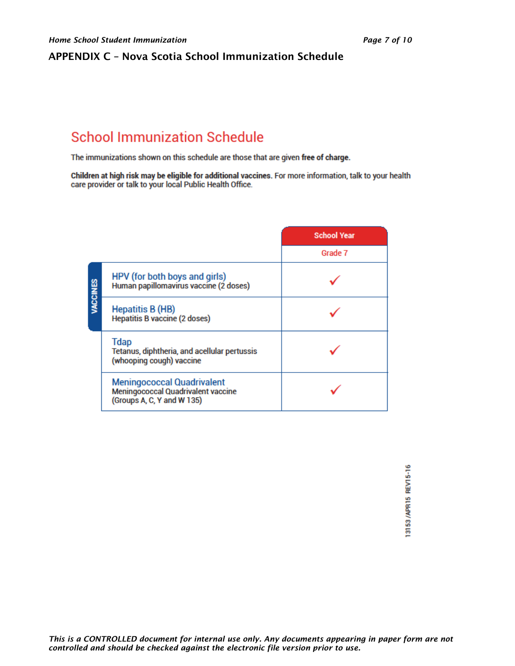## <span id="page-6-0"></span>APPENDIX C – Nova Scotia School Immunization Schedule

# **School Immunization Schedule**

The immunizations shown on this schedule are those that are given free of charge.

Children at high risk may be eligible for additional vaccines. For more information, talk to your health care provider or talk to your local Public Health Office.

|                                                                                                       | <b>School Year</b> |
|-------------------------------------------------------------------------------------------------------|--------------------|
|                                                                                                       | Grade 7            |
| HPV (for both boys and girls)<br><b>VACCINES</b><br>Human papillomavirus vaccine (2 doses)            |                    |
| <b>Hepatitis B (HB)</b><br><b>Hepatitis B vaccine (2 doses)</b>                                       |                    |
| <b>Tdap</b><br>Tetanus, diphtheria, and acellular pertussis<br>(whooping cough) vaccine               |                    |
| <b>Meningococcal Quadrivalent</b><br>Meningococcal Quadrivalent vaccine<br>(Groups A, C, Y and W 135) |                    |

13153/APR15 REV15-16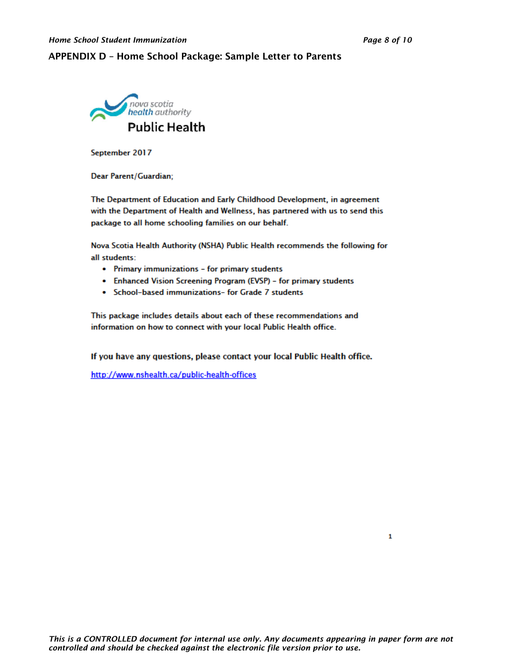#### <span id="page-7-0"></span>APPENDIX D – Home School Package: Sample Letter to Parents



September 2017

Dear Parent/Guardian;

The Department of Education and Early Childhood Development, in agreement with the Department of Health and Wellness, has partnered with us to send this package to all home schooling families on our behalf.

Nova Scotia Health Authority (NSHA) Public Health recommends the following for all students:

- Primary immunizations for primary students
- Enhanced Vision Screening Program (EVSP) for primary students
- School-based immunizations- for Grade 7 students

This package includes details about each of these recommendations and information on how to connect with your local Public Health office.

If you have any questions, please contact your local Public Health office.

http://www.nshealth.ca/public-health-offices

1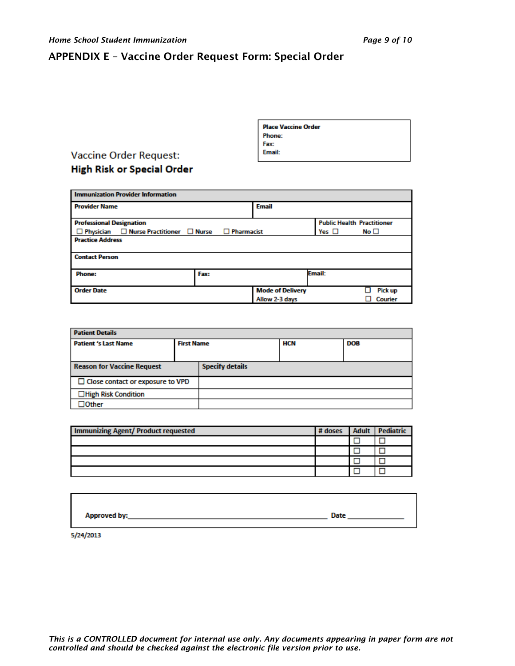#### <span id="page-8-0"></span>APPENDIX E – Vaccine Order Request Form: Special Order

|                                   | Phone:<br>Fax:<br>Email: |
|-----------------------------------|--------------------------|
| <b>Vaccine Order Request:</b>     |                          |
| <b>High Risk or Special Order</b> |                          |

| <b>Immunization Provider Information</b>                                  |      |  |                         |                                   |              |
|---------------------------------------------------------------------------|------|--|-------------------------|-----------------------------------|--------------|
| <b>Provider Name</b>                                                      |      |  | <b>Email</b>            |                                   |              |
| <b>Professional Designation</b>                                           |      |  |                         | <b>Public Health Practitioner</b> |              |
| $\Box$ Physician $\Box$ Nurse Practitioner $\Box$ Nurse $\Box$ Pharmacist |      |  |                         | Yes $\Box$                        | No $\square$ |
| <b>Practice Address</b>                                                   |      |  |                         |                                   |              |
| <b>Contact Person</b>                                                     |      |  |                         |                                   |              |
| <b>Phone:</b>                                                             | Fax: |  |                         | Email:                            |              |
| <b>Order Date</b>                                                         |      |  | <b>Mode of Delivery</b> |                                   | Pick up      |
|                                                                           |      |  | Allow 2-3 days          |                                   | Courier      |

**Place Vaccine Order** 

 $\mathbf{r}$ 

| <b>Patient Details</b>                  |                   |                        |     |            |  |
|-----------------------------------------|-------------------|------------------------|-----|------------|--|
| <b>Patient 's Last Name</b>             | <b>First Name</b> |                        | HCN | <b>DOB</b> |  |
|                                         |                   |                        |     |            |  |
| <b>Reason for Vaccine Request</b>       |                   | <b>Specify details</b> |     |            |  |
| $\Box$ Close contact or exposure to VPD |                   |                        |     |            |  |
| □High Risk Condition                    |                   |                        |     |            |  |
| <b>Other</b>                            |                   |                        |     |            |  |

| <b>Immunizing Agent/ Product requested</b> |  | # doses Adult Pediatric |
|--------------------------------------------|--|-------------------------|
|                                            |  |                         |
|                                            |  |                         |
|                                            |  |                         |
|                                            |  |                         |

| Approved by: | Date |
|--------------|------|

5/24/2013